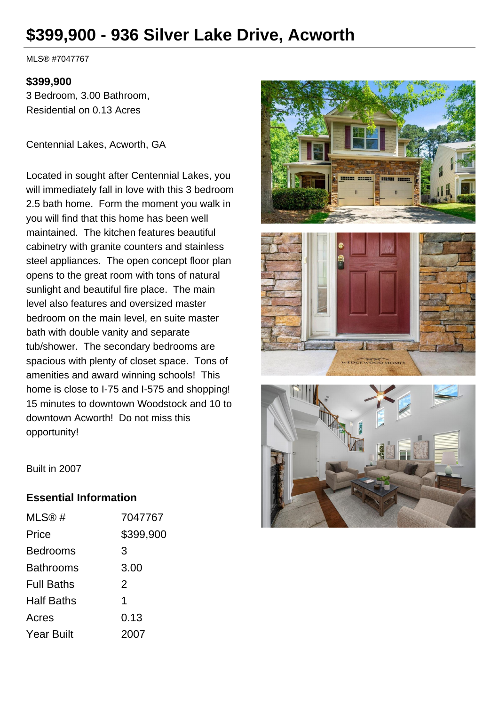# **\$399,900 - 936 Silver Lake Drive, Acworth**

MLS® #7047767

#### **\$399,900**

3 Bedroom, 3.00 Bathroom, Residential on 0.13 Acres

Centennial Lakes, Acworth, GA

Located in sought after Centennial Lakes, you will immediately fall in love with this 3 bedroom 2.5 bath home. Form the moment you walk in you will find that this home has been well maintained. The kitchen features beautiful cabinetry with granite counters and stainless steel appliances. The open concept floor plan opens to the great room with tons of natural sunlight and beautiful fire place. The main level also features and oversized master bedroom on the main level, en suite master bath with double vanity and separate tub/shower. The secondary bedrooms are spacious with plenty of closet space. Tons of amenities and award winning schools! This home is close to I-75 and I-575 and shopping! 15 minutes to downtown Woodstock and 10 to downtown Acworth! Do not miss this opportunity!





Built in 2007

#### **Essential Information**

| MLS@#             | 7047767   |
|-------------------|-----------|
| Price             | \$399,900 |
| <b>Bedrooms</b>   | 3         |
| Bathrooms         | 3.00      |
| <b>Full Baths</b> | 2         |
| <b>Half Baths</b> | 1         |
| Acres             | 0.13      |
| <b>Year Built</b> | 2007      |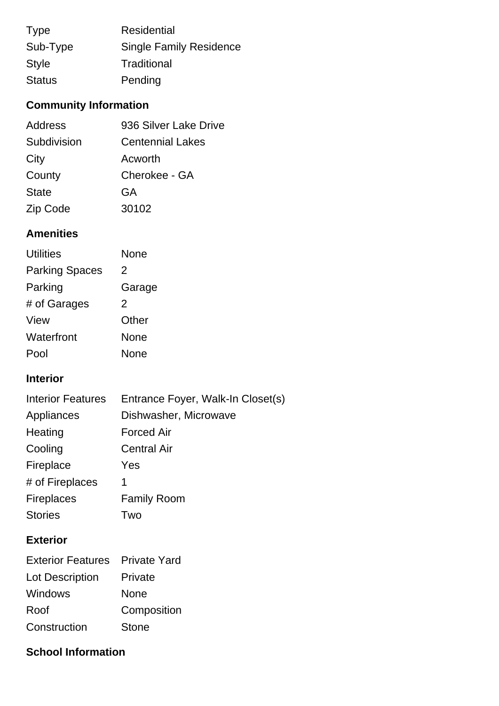| <b>Type</b>   | <b>Residential</b>             |
|---------------|--------------------------------|
| Sub-Type      | <b>Single Family Residence</b> |
| <b>Style</b>  | Traditional                    |
| <b>Status</b> | Pending                        |

# **Community Information**

| Address      | 936 Silver Lake Drive   |  |
|--------------|-------------------------|--|
| Subdivision  | <b>Centennial Lakes</b> |  |
| City         | Acworth                 |  |
| County       | Cherokee - GA           |  |
| <b>State</b> | GA                      |  |
| Zip Code     | 30102                   |  |

### **Amenities**

| <b>Utilities</b>      | None        |
|-----------------------|-------------|
| <b>Parking Spaces</b> | 2           |
| Parking               | Garage      |
| # of Garages          | 2           |
| View                  | Other       |
| Waterfront            | <b>None</b> |
| Pool                  | None        |

### **Interior**

| <b>Interior Features</b> | Entrance Foyer, Walk-In Closet(s) |
|--------------------------|-----------------------------------|
| Appliances               | Dishwasher, Microwave             |
| Heating                  | <b>Forced Air</b>                 |
| Cooling                  | <b>Central Air</b>                |
| Fireplace                | Yes                               |
| # of Fireplaces          | 1                                 |
| <b>Fireplaces</b>        | <b>Family Room</b>                |
| <b>Stories</b>           | Two                               |
|                          |                                   |

## **Exterior**

| <b>Exterior Features</b> | <b>Private Yard</b> |
|--------------------------|---------------------|
| Lot Description          | Private             |
| <b>Windows</b>           | None                |
| Roof                     | Composition         |
| Construction             | Stone               |

### **School Information**